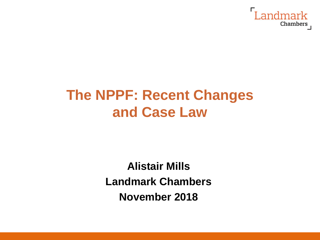

# **The NPPF: Recent Changes and Case Law**

**Alistair Mills Landmark Chambers November 2018**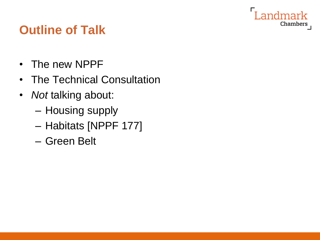

## **Outline of Talk**

- The new NPPF
- The Technical Consultation
- *Not* talking about:
	- Housing supply
	- Habitats [NPPF 177]
	- Green Belt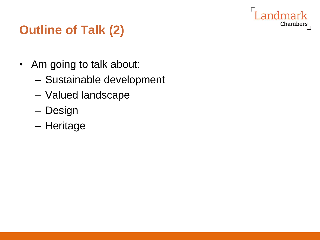

## **Outline of Talk (2)**

- Am going to talk about:
	- Sustainable development
	- Valued landscape
	- Design
	- Heritage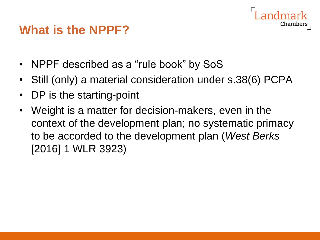#### **What is the NPPF?**

- NPPF described as a "rule book" by SoS
- Still (only) a material consideration under s.38(6) PCPA

- DP is the starting-point
- Weight is a matter for decision-makers, even in the context of the development plan; no systematic primacy to be accorded to the development plan (*West Berks* [2016] 1 WLR 3923)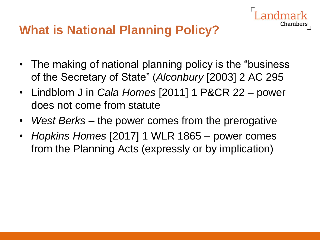### **What is National Planning Policy?**

• The making of national planning policy is the "business of the Secretary of State" (*Alconbury* [2003] 2 AC 295

- Lindblom J in *Cala Homes* [2011] 1 P&CR 22 power does not come from statute
- *West Berks* the power comes from the prerogative
- *Hopkins Homes* [2017] 1 WLR 1865 power comes from the Planning Acts (expressly or by implication)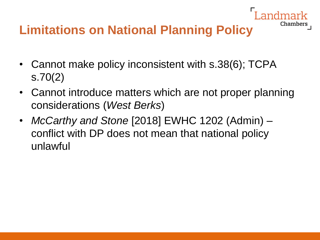## **Limitations on National Planning Policy**

- Cannot make policy inconsistent with s.38(6); TCPA s.70(2)
- Cannot introduce matters which are not proper planning considerations (*West Berks*)

Chambers

• *McCarthy and Stone* [2018] EWHC 1202 (Admin) – conflict with DP does not mean that national policy unlawful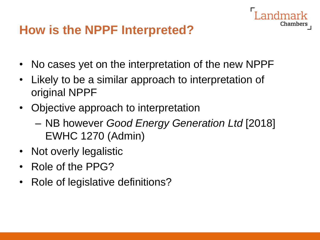### **How is the NPPF Interpreted?**

• No cases yet on the interpretation of the new NPPF

- Likely to be a similar approach to interpretation of original NPPF
- Objective approach to interpretation
	- NB however *Good Energy Generation Ltd* [2018] EWHC 1270 (Admin)
- Not overly legalistic
- Role of the PPG?
- Role of legislative definitions?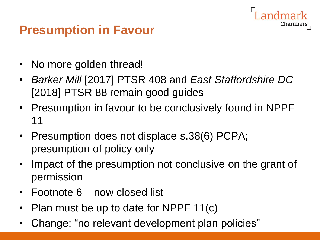## **Presumption in Favour**

- No more golden thread!
- *Barker Mill* [2017] PTSR 408 and *East Staffordshire DC* [2018] PTSR 88 remain good guides

- Presumption in favour to be conclusively found in NPPF 11
- Presumption does not displace s.38(6) PCPA; presumption of policy only
- Impact of the presumption not conclusive on the grant of permission
- Footnote 6 now closed list
- Plan must be up to date for NPPF 11(c)
- Change: "no relevant development plan policies"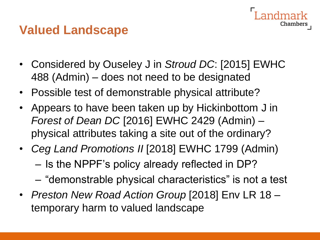#### **Valued Landscape**

• Considered by Ouseley J in *Stroud DC*: [2015] EWHC 488 (Admin) – does not need to be designated

- Possible test of demonstrable physical attribute?
- Appears to have been taken up by Hickinbottom J in *Forest of Dean DC* [2016] EWHC 2429 (Admin) – physical attributes taking a site out of the ordinary?
- *Ceg Land Promotions II* [2018] EWHC 1799 (Admin)
	- Is the NPPF's policy already reflected in DP?
	- "demonstrable physical characteristics" is not a test
- *Preston New Road Action Group* [2018] Env LR 18 temporary harm to valued landscape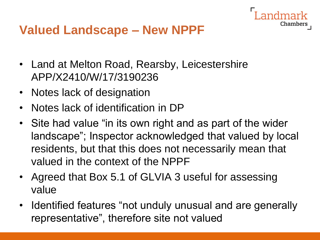#### **Valued Landscape – New NPPF**

- Land at Melton Road, Rearsby, Leicestershire APP/X2410/W/17/3190236
- Notes lack of designation
- Notes lack of identification in DP
- Site had value "in its own right and as part of the wider landscape"; Inspector acknowledged that valued by local residents, but that this does not necessarily mean that valued in the context of the NPPF

- Agreed that Box 5.1 of GLVIA 3 useful for assessing value
- Identified features "not unduly unusual and are generally representative", therefore site not valued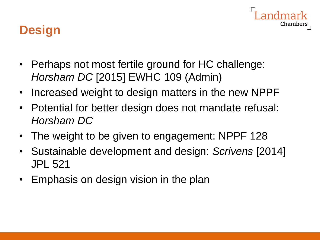

## **Design**

- Perhaps not most fertile ground for HC challenge: *Horsham DC* [2015] EWHC 109 (Admin)
- Increased weight to design matters in the new NPPF
- Potential for better design does not mandate refusal: *Horsham DC*
- The weight to be given to engagement: NPPF 128
- Sustainable development and design: *Scrivens* [2014] JPL 521
- Emphasis on design vision in the plan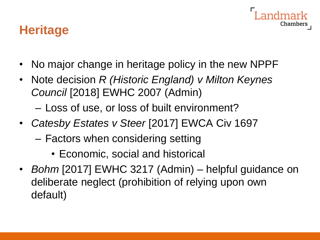### **Heritage**

• No major change in heritage policy in the new NPPF

- Note decision *R (Historic England) v Milton Keynes Council* [2018] EWHC 2007 (Admin)
	- Loss of use, or loss of built environment?
- *Catesby Estates v Steer* [2017] EWCA Civ 1697
	- Factors when considering setting
		- Economic, social and historical
- *Bohm* [2017] EWHC 3217 (Admin) helpful guidance on deliberate neglect (prohibition of relying upon own default)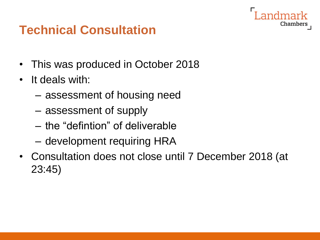### **Technical Consultation**

- This was produced in October 2018
- It deals with:
	- assessment of housing need
	- assessment of supply
	- the "defintion" of deliverable
	- development requiring HRA
- Consultation does not close until 7 December 2018 (at 23:45)